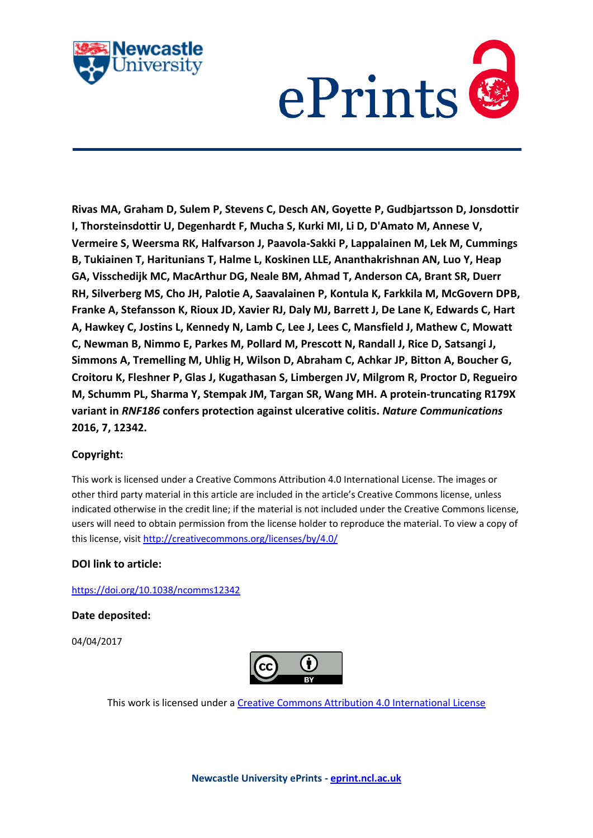



**Rivas MA, Graham D, Sulem P, Stevens C, Desch AN, Goyette P, Gudbjartsson D, Jonsdottir I, Thorsteinsdottir U, Degenhardt F, Mucha S, Kurki MI, Li D, D'Amato M, Annese V, Vermeire S, Weersma RK, Halfvarson J, Paavola-Sakki P, Lappalainen M, Lek M, Cummings B, Tukiainen T, Haritunians T, Halme L, Koskinen LLE, Ananthakrishnan AN, Luo Y, Heap GA, Visschedijk MC, MacArthur DG, Neale BM, Ahmad T, Anderson CA, Brant SR, Duerr RH, Silverberg MS, Cho JH, Palotie A, Saavalainen P, Kontula K, Farkkila M, McGovern DPB, Franke A, Stefansson K, Rioux JD, Xavier RJ, Daly MJ, Barrett J, De Lane K, Edwards C, Hart A, Hawkey C, Jostins L, Kennedy N, Lamb C, Lee J, Lees C, Mansfield J, Mathew C, Mowatt C, Newman B, Nimmo E, Parkes M, Pollard M, Prescott N, Randall J, Rice D, Satsangi J, Simmons A, Tremelling M, Uhlig H, Wilson D, Abraham C, Achkar JP, Bitton A, Boucher G, Croitoru K, Fleshner P, Glas J, Kugathasan S, Limbergen JV, Milgrom R, Proctor D, Regueiro M, Schumm PL, Sharma Y, Stempak JM, Targan SR, Wang MH. A protein-truncating R179X variant in** *RNF186* **confers protection against ulcerative colitis.** *Nature Communications* **2016, 7, 12342.**

## **Copyright:**

This work is licensed under a Creative Commons Attribution 4.0 International License. The images or other third party material in this article are included in the article's Creative Commons license, unless indicated otherwise in the credit line; if the material is not included under the Creative Commons license, users will need to obtain permission from the license holder to reproduce the material. To view a copy of this license, visit<http://creativecommons.org/licenses/by/4.0/>

## **DOI link to article:**

<https://doi.org/10.1038/ncomms12342>

**Date deposited:** 

04/04/2017



This work is licensed under [a Creative Commons Attribution 4.0 International License](http://creativecommons.org/licenses/by/4.0/)

**Newcastle University ePrints - [eprint.ncl.ac.uk](http://eprint.ncl.ac.uk/)**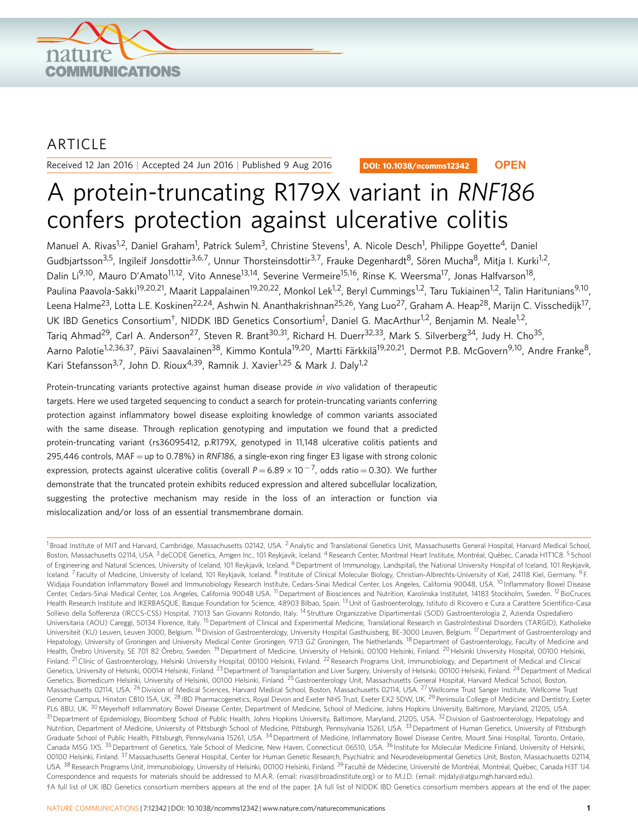

## ARTICLE

Received 12 Jan 2016 | Accepted 24 Jun 2016 | Published 9 Aug 2016

DOI: 10.1038/ncomms12342 **OPEN**

# A protein-truncating R179X variant in RNF186 confers protection against ulcerative colitis

Manuel A. Rivas<sup>1,2</sup>, Daniel Graham<sup>1</sup>, Patrick Sulem<sup>3</sup>, Christine Stevens<sup>1</sup>, A. Nicole Desch<sup>1</sup>, Philippe Goyette<sup>4</sup>, Daniel Gudbjartsson<sup>3,5</sup>, Ingileif Jonsdottir<sup>3,6,7</sup>, Unnur Thorsteinsdottir<sup>3,7</sup>, Frauke Degenhardt<sup>8</sup>, Sören Mucha<sup>8</sup>, Mitja I. Kurki<sup>1,2</sup>, Dalin Li<sup>9,10</sup>, Mauro D'Amato<sup>11,12</sup>, Vito Annese<sup>13,14</sup>, Severine Vermeire<sup>15,16</sup>, Rinse K. Weersma<sup>17</sup>, Jonas Halfvarson<sup>18</sup>, Paulina Paavola-Sakki<sup>19,20,21</sup>, Maarit Lappalainen<sup>19,20,22</sup>, Monkol Lek<sup>1,2</sup>, Beryl Cummings<sup>1,2</sup>, Taru Tukiainen<sup>1,2</sup>, Talin Haritunians<sup>9,10</sup>, Leena Halme<sup>23</sup>, Lotta L.E. Koskinen<sup>22,24</sup>, Ashwin N. Ananthakrishnan<sup>25,26</sup>, Yang Luo<sup>27</sup>, Graham A. Heap<sup>28</sup>, Marijn C. Visschedijk<sup>17</sup>, UK IBD Genetics Consortium<sup>†</sup>, NIDDK IBD Genetics Consortium<sup>‡</sup>, Daniel G. MacArthur<sup>1,2</sup>, Benjamin M. Neale<sup>1,2</sup>, Tariq Ahmad<sup>29</sup>, Carl A. Anderson<sup>27</sup>, Steven R. Brant<sup>30,31</sup>, Richard H. Duerr<sup>32,33</sup>, Mark S. Silverberg<sup>34</sup>, Judy H. Cho<sup>35</sup>, Aarno Palotie<sup>1,2,36,37</sup>, Päivi Saavalainen<sup>38</sup>, Kimmo Kontula<sup>19,20</sup>, Martti Färkkilä<sup>19,20,21</sup>, Dermot P.B. McGovern<sup>9,10</sup>, Andre Franke<sup>8</sup>, Kari Stefansson<sup>3,7</sup>, John D. Rioux<sup>4,39</sup>, Ramnik J. Xavier<sup>1,25</sup> & Mark J. Daly<sup>1,2</sup>

Protein-truncating variants protective against human disease provide in vivo validation of therapeutic targets. Here we used targeted sequencing to conduct a search for protein-truncating variants conferring protection against inflammatory bowel disease exploiting knowledge of common variants associated with the same disease. Through replication genotyping and imputation we found that a predicted protein-truncating variant (rs36095412, p.R179X, genotyped in 11,148 ulcerative colitis patients and 295,446 controls, MAF = up to 0.78%) in RNF186, a single-exon ring finger E3 ligase with strong colonic expression, protects against ulcerative colitis (overall  $P$   $=$  6.89  $\times$  10  $^{-7}$ , odds ratio  $=$  0.30). We further demonstrate that the truncated protein exhibits reduced expression and altered subcellular localization, suggesting the protective mechanism may reside in the loss of an interaction or function via mislocalization and/or loss of an essential transmembrane domain.

 $1B$ road Institute of MIT and Harvard, Cambridge, Massachusetts 02142, USA. <sup>2</sup> Analytic and Translational Genetics Unit, Massachusetts General Hospital, Harvard Medical School, Boston, Massachusetts 02114, USA. <sup>3</sup> deCODE Genetics, Amgen Inc., 101 Reykjavik, Iceland. <sup>4</sup> Research Center, Montreal Heart Institute, Montréal, Québec, Canada H1T1C8. <sup>5</sup> School of Engineering and Natural Sciences, University of Iceland, 101 Reykjavik, Iceland. <sup>6</sup> Department of Immunology, Landspitali, the National University Hospital of Iceland, 101 Reykjavik, Iceland. <sup>7</sup> Faculty of Medicine, University of Iceland, 101 Reykjavik, Iceland. <sup>8</sup> Institute of Clinical Molecular Biology, Christian-Albrechts-University of Kiel, 24118 Kiel, Germany. <sup>9</sup> F. Widjaja Foundation Inflammatory Bowel and Immunobiology Research Institute, Cedars-Sinai Medical Center, Los Angeles, California 90048, USA. <sup>10</sup> Inflammatory Bowel Disease Center, Cedars-Sinai Medical Center, Los Angeles, California 90048 USA. <sup>11</sup> Department of Biosciences and Nutrition, Karolinska Institutet, 14183 Stockholm, Sweden. <sup>12</sup> BioCruces Health Research Institute and IKERBASQUE, Basque Foundation for Science, 48903 Bilbao, Spain. <sup>13</sup> Unit of Gastroenterology, Istituto di Ricovero e Cura a Carattere Scientifico-Casa Sollievo della Sofferenza (IRCCS-CSS) Hospital, 71013 San Giovanni Rotondo, Italy. <sup>14</sup> Strutture Organizzative Dipartimentali (SOD) Gastroenterologia 2, Azienda Ospedaliero Universitaria (AOU) Careggi, 50134 Florence, Italy. <sup>15</sup> Department of Clinical and Experimental Medicine, Translational Research in GastroIntestinal Disorders (TARGID), Katholieke Universiteit (KU) Leuven, Leuven 3000, Belgium. <sup>16</sup> Division of Gastroenterology, University Hospital Gasthuisberg, BE-3000 Leuven, Belgium. <sup>17</sup> Department of Gastroenterology and Hepatology, University of Groningen and University Medical Center Groningen, 9713 GZ Groningen, The Netherlands. <sup>18</sup> Department of Gastroenterology, Faculty of Medicine and Health, Örebro University, SE 701 82 Örebro, Sweden. <sup>19</sup> Department of Medicine, University of Helsinki, 00100 Helsinki, Finland. <sup>20</sup> Helsinki University Hospital, 00100 Helsinki, Finland. <sup>21</sup> Clinic of Gastroenterology, Helsinki University Hospital, 00100 Helsinki, Finland. <sup>22</sup> Research Programs Unit, Immunobiology, and Department of Medical and Clinical Genetics, University of Helsinki, 00014 Helsinki, Finland. <sup>23</sup> Department of Transplantation and Liver Surgery, University of Helsinki, 00100 Helsinki, Finland. <sup>24</sup> Department of Medical Genetics, Biomedicum Helsinki, University of Helsinki, 00100 Helsinki, Finland. <sup>25</sup> Gastroenterology Unit, Massachusetts General Hospital, Harvard Medical School, Boston, Massachusetts 02114, USA. <sup>26</sup> Division of Medical Sciences, Harvard Medical School, Boston, Massachusetts 02114, USA. <sup>27</sup> Wellcome Trust Sanger Institute, Wellcome Trust Genome Campus, Hinxton CB10 1SA, UK. <sup>28</sup> IBD Pharmacogenetics, Royal Devon and Exeter NHS Trust, Exeter EX2 5DW, UK. <sup>29</sup> Peninsula College of Medicine and Dentistry, Exeter PL6 8BU, UK. <sup>30</sup> Meyerhoff Inflammatory Bowel Disease Center, Department of Medicine, School of Medicine, Johns Hopkins University, Baltimore, Maryland, 21205, USA. <sup>31</sup> Department of Epidemiology, Bloomberg School of Public Health, Johns Hopkins University, Baltimore, Maryland, 21205, USA. <sup>32</sup> Division of Gastroenterology, Hepatology and Nutrition, Department of Medicine, University of Pittsburgh School of Medicine, Pittsburgh, Pennsylvania 15261, USA. 33 Department of Human Genetics, University of Pittsburgh Graduate School of Public Health, Pittsburgh, Pennsylvania 15261, USA. <sup>34</sup> Department of Medicine, Inflammatory Bowel Disease Centre, Mount Sinai Hospital, Toronto, Ontario, Canada M5G 1X5. <sup>35</sup>Department of Genetics, Yale School of Medicine, New Haven, Connecticut 06510, USA. <sup>36</sup> Institute for Molecular Medicine Finland, University of Helsinki, 00100 Helsinki, Finland. <sup>37</sup> Massachusetts General Hospital, Center for Human Genetic Research, Psychiatric and Neurodevelopmental Genetics Unit, Boston, Massachusetts 02114, USA. <sup>38</sup> Research Programs Unit, Immunobiology, University of Helsinki, 00100 Helsinki, Finland. <sup>39</sup> Faculté de Médecine, Université de Montréal, Montréal, Québec, Canada H3T 1J4. Correspondence and requests for materials should be addressed to M.A.R. (email: [rivas@broadinstitute.org\)](mailto:rivas@broadinstitute.org) or to M.J.D. (email: [mjdaly@atgu.mgh.harvard.edu](mailto:mjdaly@atgu.mgh.harvard.edu)). wA full list of UK IBD Genetics consortium members appears at the end of the paper. <sup>z</sup>A full list of NIDDK IBD Genetics consortium members appears at the end of the paper.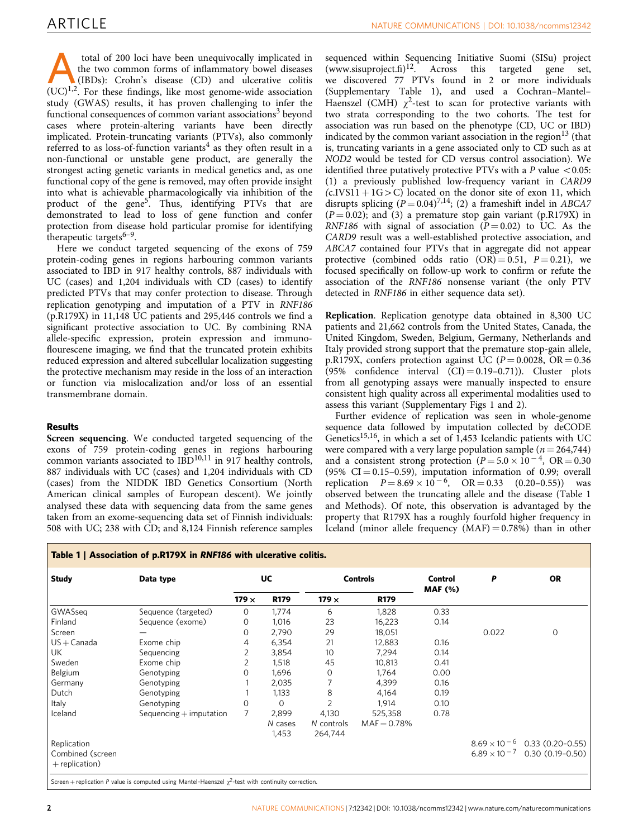total of 200 loci have been unequivocally implicated in<br>the two common forms of inflammatory bowel diseases<br>(IBDs): Crohn's disease (CD) and ulcerative colitis<br>(IIC)<sup>1,2</sup> Eq. these findings like most genome-wide associati the two common forms of inflammatory bowel diseases  $(UC)^{1,2}$  $(UC)^{1,2}$  $(UC)^{1,2}$ . For these findings, like most genome-wide association study (GWAS) results, it has proven challenging to infer the functional consequences of common variant associations<sup>[3](#page-5-0)</sup> beyond cases where protein-altering variants have been directly implicated. Protein-truncating variants (PTVs), also commonly referred to as loss-of-function variants<sup>[4](#page-5-0)</sup> as they often result in a non-functional or unstable gene product, are generally the strongest acting genetic variants in medical genetics and, as one functional copy of the gene is removed, may often provide insight into what is achievable pharmacologically via inhibition of the product of the gene<sup>5</sup>. Thus, identifying PTVs that are demonstrated to lead to loss of gene function and confer protection from disease hold particular promise for identifying therapeutic targets $6-9$ .

Here we conduct targeted sequencing of the exons of 759 protein-coding genes in regions harbouring common variants associated to IBD in 917 healthy controls, 887 individuals with UC (cases) and 1,204 individuals with CD (cases) to identify predicted PTVs that may confer protection to disease. Through replication genotyping and imputation of a PTV in RNF186 (p.R179X) in 11,148 UC patients and 295,446 controls we find a significant protective association to UC. By combining RNA allele-specific expression, protein expression and immunoflourescene imaging, we find that the truncated protein exhibits reduced expression and altered subcellular localization suggesting the protective mechanism may reside in the loss of an interaction or function via mislocalization and/or loss of an essential transmembrane domain.

## Results

Screen sequencing. We conducted targeted sequencing of the exons of 759 protein-coding genes in regions harbouring common variants associated to  $\overline{IBD}^{10,11}$  $\overline{IBD}^{10,11}$  $\overline{IBD}^{10,11}$  in 917 healthy controls, 887 individuals with UC (cases) and 1,204 individuals with CD (cases) from the NIDDK IBD Genetics Consortium (North American clinical samples of European descent). We jointly analysed these data with sequencing data from the same genes taken from an exome-sequencing data set of Finnish individuals: 508 with UC; 238 with CD; and 8,124 Finnish reference samples

sequenced within Sequencing Initiative Suomi (SISu) project  $(www.size)$  is the set of the set of the set. ([www.sisuproject.fi\)](www.sisuproject.fi)<sup>[12](#page-6-0)</sup>. Across this targeted gene set, we discovered 77 PTVs found in 2 or more individuals (Supplementary Table 1), and used a Cochran–Mantel– Haenszel (CMH)  $\gamma^2$ -test to scan for protective variants with two strata corresponding to the two cohorts. The test for association was run based on the phenotype (CD, UC or IBD) indicated by the common variant association in the region<sup>[13](#page-6-0)</sup> (that is, truncating variants in a gene associated only to CD such as at NOD2 would be tested for CD versus control association). We identified three putatively protective PTVs with a  $P$  value  $\lt$  0.05: (1) a previously published low-frequency variant in CARD9  $(c.IVS11 + 1G > C)$  located on the donor site of exon 11, which disrupts splicing  $(P = 0.04)^{7,14}$  $(P = 0.04)^{7,14}$  $(P = 0.04)^{7,14}$ ; (2) a frameshift indel in ABCA7  $(P = 0.02)$ ; and (3) a premature stop gain variant (p.R179X) in RNF186 with signal of association  $(P = 0.02)$  to UC. As the CARD9 result was a well-established protective association, and ABCA7 contained four PTVs that in aggregate did not appear protective (combined odds ratio  $(OR) = 0.51$ ,  $P = 0.21$ ), we focused specifically on follow-up work to confirm or refute the association of the RNF186 nonsense variant (the only PTV detected in RNF186 in either sequence data set).

Replication. Replication genotype data obtained in 8,300 UC patients and 21,662 controls from the United States, Canada, the United Kingdom, Sweden, Belgium, Germany, Netherlands and Italy provided strong support that the premature stop-gain allele, p.R179X, confers protection against UC ( $P = 0.0028$ , OR  $= 0.36$ ) (95% confidence interval  $(CI) = 0.19-0.71$ ). Cluster plots from all genotyping assays were manually inspected to ensure consistent high quality across all experimental modalities used to assess this variant (Supplementary Figs 1 and 2).

Further evidence of replication was seen in whole-genome sequence data followed by imputation collected by deCODE Genetics<sup>[15,16](#page-6-0)</sup>, in which a set of 1,453 Icelandic patients with UC were compared with a very large population sample ( $n = 264,744$ ) and a consistent strong protection ( $P = 5.0 \times 10^{-4}$ , OR = 0.30  $(95\% \text{ CI} = 0.15 - 0.59)$ , imputation information of 0.99; overall replication  $P = 8.69 \times 10^{-6}$ ,  $OR = 0.33$   $(0.20-0.55)$  was observed between the truncating allele and the disease (Table 1 and Methods). Of note, this observation is advantaged by the property that R179X has a roughly fourfold higher frequency in Iceland (minor allele frequency  $(MAF) = 0.78%$ ) than in other

| <b>Study</b>     | Data type                 | <b>UC</b>    |             | <b>Controls</b> |               | Control<br><b>MAF (%)</b> | P     | <b>OR</b>                              |
|------------------|---------------------------|--------------|-------------|-----------------|---------------|---------------------------|-------|----------------------------------------|
|                  |                           | $179 \times$ | <b>R179</b> | 179 $\times$    | <b>R179</b>   |                           |       |                                        |
| GWASseg          | Sequence (targeted)       | $\Omega$     | 1,774       | 6               | 1,828         | 0.33                      |       |                                        |
| Finland          | Sequence (exome)          | 0            | 1,016       | 23              | 16,223        | 0.14                      |       |                                        |
| Screen           |                           | Ω            | 2,790       | 29              | 18,051        |                           | 0.022 | $\circ$                                |
| $US + Canada$    | Exome chip                | 4            | 6,354       | 21              | 12,883        | 0.16                      |       |                                        |
| <b>UK</b>        | Sequencing                | 2            | 3,854       | 10 <sup>°</sup> | 7,294         | 0.14                      |       |                                        |
| Sweden           | Exome chip                | 2            | 1,518       | 45              | 10,813        | 0.41                      |       |                                        |
| Belgium          | Genotyping                | Ω            | 1,696       | 0               | 1,764         | 0.00                      |       |                                        |
| Germany          | Genotyping                |              | 2,035       |                 | 4,399         | 0.16                      |       |                                        |
| Dutch            | Genotyping                |              | 1,133       | 8               | 4,164         | 0.19                      |       |                                        |
| Italy            | Genotyping                | Ω            | $\circ$     | $\overline{2}$  | 1,914         | 0.10                      |       |                                        |
| Iceland          | Sequencing $+$ imputation |              | 2,899       | 4,130           | 525,358       | 0.78                      |       |                                        |
|                  |                           |              | N cases     | N controls      | $MAF = 0.78%$ |                           |       |                                        |
|                  |                           |              | 1,453       | 264,744         |               |                           |       |                                        |
| Replication      |                           |              |             |                 |               |                           |       | $8.69 \times 10^{-6}$ 0.33 (0.20-0.55) |
| Combined (screen |                           |              |             |                 |               |                           |       | $6.89 \times 10^{-7}$ 0.30 (0.19-0.50) |
| $+$ replication) |                           |              |             |                 |               |                           |       |                                        |

Screen + replication P value is computed using Mantel-Haenszel  $\chi^2$ -test with continuity correction.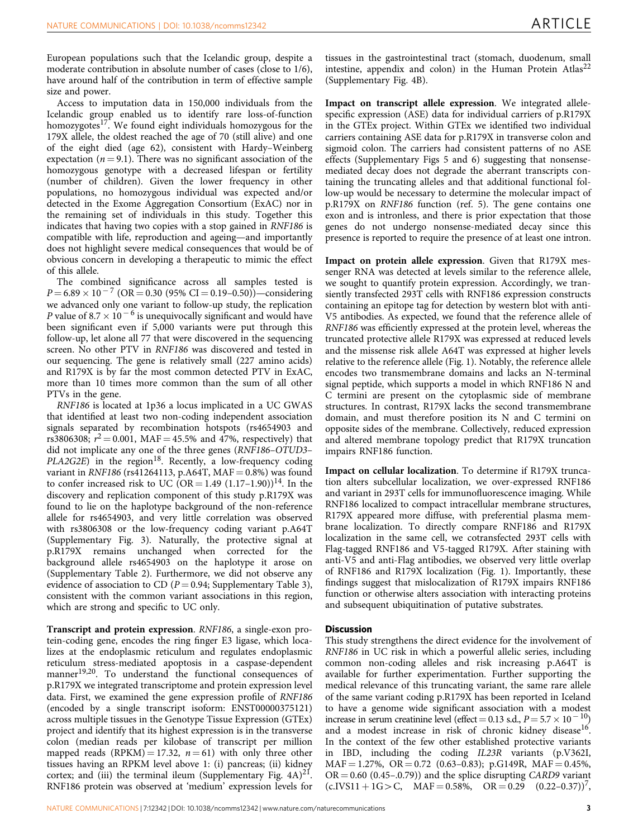European populations such that the Icelandic group, despite a moderate contribution in absolute number of cases (close to 1/6), have around half of the contribution in term of effective sample size and power.

Access to imputation data in 150,000 individuals from the Icelandic group enabled us to identify rare loss-of-function homozygotes<sup>17</sup>. We found eight individuals homozygous for the 179X allele, the oldest reached the age of 70 (still alive) and one of the eight died (age 62), consistent with Hardy–Weinberg expectation ( $n = 9.1$ ). There was no significant association of the homozygous genotype with a decreased lifespan or fertility (number of children). Given the lower frequency in other populations, no homozygous individual was expected and/or detected in the Exome Aggregation Consortium (ExAC) nor in the remaining set of individuals in this study. Together this indicates that having two copies with a stop gained in RNF186 is compatible with life, reproduction and ageing—and importantly does not highlight severe medical consequences that would be of obvious concern in developing a therapeutic to mimic the effect of this allele.

The combined significance across all samples tested is  $P = 6.89 \times 10^{-7}$  (OR = 0.30 (95% CI = 0.19-0.50))—considering we advanced only one variant to follow-up study, the replication P value of 8.7  $\times$  10<sup>-6</sup> is unequivocally significant and would have been significant even if 5,000 variants were put through this follow-up, let alone all 77 that were discovered in the sequencing screen. No other PTV in RNF186 was discovered and tested in our sequencing. The gene is relatively small (227 amino acids) and R179X is by far the most common detected PTV in ExAC, more than 10 times more common than the sum of all other PTVs in the gene.

RNF186 is located at 1p36 a locus implicated in a UC GWAS that identified at least two non-coding independent association signals separated by recombination hotspots (rs4654903 and rs3806308;  $r^2 = 0.001$ , MAF = 45.5% and 47%, respectively) that did not implicate any one of the three genes (RNF186–OTUD3–  $PLA2G2E$ ) in the region<sup>[18](#page-6-0)</sup>. Recently, a low-frequency coding variant in RNF186 (rs41264113, p.A64T, MAF =  $0.8\%$ ) was found to confer increased risk to UC  $(OR = 1.49 (1.17-1.90))$ <sup>[14](#page-6-0)</sup>. In the discovery and replication component of this study p.R179X was found to lie on the haplotype background of the non-reference allele for rs4654903, and very little correlation was observed with rs3806308 or the low-frequency coding variant p.A64T (Supplementary Fig. 3). Naturally, the protective signal at p.R179X remains unchanged when corrected for the background allele rs4654903 on the haplotype it arose on (Supplementary Table 2). Furthermore, we did not observe any evidence of association to CD ( $P = 0.94$ ; Supplementary Table 3), consistent with the common variant associations in this region, which are strong and specific to UC only.

Transcript and protein expression. RNF186, a single-exon protein-coding gene, encodes the ring finger E3 ligase, which localizes at the endoplasmic reticulum and regulates endoplasmic reticulum stress-mediated apoptosis in a caspase-dependent manner<sup>[19,20](#page-6-0)</sup>. To understand the functional consequences of p.R179X we integrated transcriptome and protein expression level data. First, we examined the gene expression profile of RNF186 (encoded by a single transcript isoform: ENST00000375121) across multiple tissues in the Genotype Tissue Expression (GTEx) project and identify that its highest expression is in the transverse colon (median reads per kilobase of transcript per million mapped reads (RPKM) = 17.32,  $n = 61$ ) with only three other tissues having an RPKM level above 1: (i) pancreas; (ii) kidney cortex; and (iii) the terminal ileum (Supplementary Fig.  $4A)^{21}$ . RNF186 protein was observed at 'medium' expression levels for

tissues in the gastrointestinal tract (stomach, duodenum, small intestine, appendix and colon) in the Human Protein Atlas<sup>[22](#page-6-0)</sup> (Supplementary Fig. 4B).

Impact on transcript allele expression. We integrated allelespecific expression (ASE) data for individual carriers of p.R179X in the GTEx project. Within GTEx we identified two individual carriers containing ASE data for p.R179X in transverse colon and sigmoid colon. The carriers had consistent patterns of no ASE effects (Supplementary Figs 5 and 6) suggesting that nonsensemediated decay does not degrade the aberrant transcripts containing the truncating alleles and that additional functional follow-up would be necessary to determine the molecular impact of p.R179X on RNF186 function ([ref. 5\)](#page-5-0). The gene contains one exon and is intronless, and there is prior expectation that those genes do not undergo nonsense-mediated decay since this presence is reported to require the presence of at least one intron.

Impact on protein allele expression. Given that R179X messenger RNA was detected at levels similar to the reference allele, we sought to quantify protein expression. Accordingly, we transiently transfected 293T cells with RNF186 expression constructs containing an epitope tag for detection by western blot with anti-V5 antibodies. As expected, we found that the reference allele of RNF186 was efficiently expressed at the protein level, whereas the truncated protective allele R179X was expressed at reduced levels and the missense risk allele A64T was expressed at higher levels relative to the reference allele ([Fig. 1](#page-4-0)). Notably, the reference allele encodes two transmembrane domains and lacks an N-terminal signal peptide, which supports a model in which RNF186 N and C termini are present on the cytoplasmic side of membrane structures. In contrast, R179X lacks the second transmembrane domain, and must therefore position its N and C termini on opposite sides of the membrane. Collectively, reduced expression and altered membrane topology predict that R179X truncation impairs RNF186 function.

Impact on cellular localization. To determine if R179X truncation alters subcellular localization, we over-expressed RNF186 and variant in 293T cells for immunofluorescence imaging. While RNF186 localized to compact intracellular membrane structures, R179X appeared more diffuse, with preferential plasma membrane localization. To directly compare RNF186 and R179X localization in the same cell, we cotransfected 293T cells with Flag-tagged RNF186 and V5-tagged R179X. After staining with anti-V5 and anti-Flag antibodies, we observed very little overlap of RNF186 and R179X localization ([Fig. 1](#page-4-0)). Importantly, these findings suggest that mislocalization of R179X impairs RNF186 function or otherwise alters association with interacting proteins and subsequent ubiquitination of putative substrates.

## **Discussion**

This study strengthens the direct evidence for the involvement of RNF186 in UC risk in which a powerful allelic series, including common non-coding alleles and risk increasing p.A64T is available for further experimentation. Further supporting the medical relevance of this truncating variant, the same rare allele of the same variant coding p.R179X has been reported in Iceland to have a genome wide significant association with a modest increase in serum creatinine level (effect = 0.13 s.d.,  $P = 5.7 \times 10^{-10}$ ) and a modest increase in risk of chronic kidney disease<sup>16</sup>. In the context of the few other established protective variants in IBD, including the coding IL23R variants (p.V362I,  $MAF = 1.27\%, OR = 0.72 (0.63-0.83); p.G149R, MAF = 0.45\%,$  $OR = 0.60$  (0.45–.0.79)) and the splice disrupting CARD9 variant  $(c.IVS11 + 1G > C, \quad MAF = 0.58\%, \quad OR = 0.29 \quad (0.22-0.37))^7$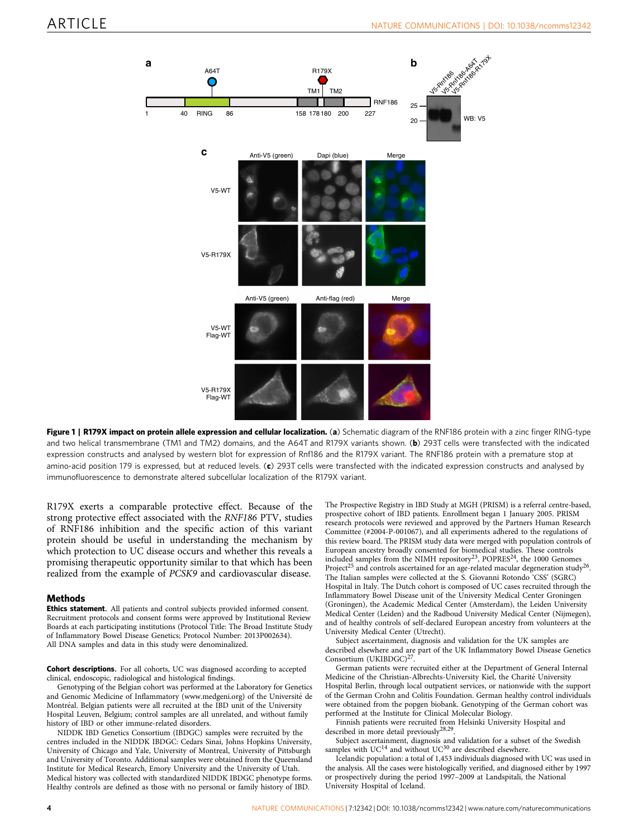<span id="page-4-0"></span>

Figure 1 | R179X impact on protein allele expression and cellular localization. (a) Schematic diagram of the RNF186 protein with a zinc finger RING-type and two helical transmembrane (TM1 and TM2) domains, and the A64T and R179X variants shown. (b) 293T cells were transfected with the indicated expression constructs and analysed by western blot for expression of Rnf186 and the R179X variant. The RNF186 protein with a premature stop at amino-acid position 179 is expressed, but at reduced levels. (c) 293T cells were transfected with the indicated expression constructs and analysed by immunofluorescence to demonstrate altered subcellular localization of the R179X variant.

R179X exerts a comparable protective effect. Because of the strong protective effect associated with the RNF186 PTV, studies of RNF186 inhibition and the specific action of this variant protein should be useful in understanding the mechanism by which protection to UC disease occurs and whether this reveals a promising therapeutic opportunity similar to that which has been realized from the example of PCSK9 and cardiovascular disease.

### Methods

Ethics statement. All patients and control subjects provided informed consent. Recruitment protocols and consent forms were approved by Institutional Review Boards at each participating institutions (Protocol Title: The Broad Institute Study of Inflammatory Bowel Disease Genetics; Protocol Number: 2013P002634). All DNA samples and data in this study were denominalized.

Cohort descriptions. For all cohorts, UC was diagnosed according to accepted clinical, endoscopic, radiological and histological findings.

Genotyping of the Belgian cohort was performed at the Laboratory for Genetics and Genomic Medicine of Inflammatory [\(www.medgeni.org](www.medgeni.org)) of the Université de Montréal. Belgian patients were all recruited at the IBD unit of the University Hospital Leuven, Belgium; control samples are all unrelated, and without family history of IBD or other immune-related disorders.

NIDDK IBD Genetics Consortium (IBDGC) samples were recruited by the centres included in the NIDDK IBDGC: Cedars Sinai, Johns Hopkins University, University of Chicago and Yale, University of Montreal, University of Pittsburgh and University of Toronto. Additional samples were obtained from the Queensland Institute for Medical Research, Emory University and the University of Utah. Medical history was collected with standardized NIDDK IBDGC phenotype forms. Healthy controls are defined as those with no personal or family history of IBD.

The Prospective Registry in IBD Study at MGH (PRISM) is a referral centre-based, prospective cohort of IBD patients. Enrollment began 1 January 2005. PRISM research protocols were reviewed and approved by the Partners Human Research Committee (#2004-P-001067), and all experiments adhered to the regulations of this review board. The PRISM study data were merged with population controls of European ancestry broadly consented for biomedical studies. These controls included samples from the NIMH repository<sup>23</sup>, POPRES<sup>24</sup>, the 1000 Genomes Project<sup>[25](#page-6-0)</sup> and controls ascertained for an age-related macular degeneration study<sup>[26](#page-6-0)</sup>. The Italian samples were collected at the S. Giovanni Rotondo 'CSS' (SGRC) Hospital in Italy. The Dutch cohort is composed of UC cases recruited through the Inflammatory Bowel Disease unit of the University Medical Center Groningen (Groningen), the Academic Medical Center (Amsterdam), the Leiden University Medical Center (Leiden) and the Radboud University Medical Center (Nijmegen), and of healthy controls of self-declared European ancestry from volunteers at the University Medical Center (Utrecht).

Subject ascertainment, diagnosis and validation for the UK samples are described elsewhere and are part of the UK Inflammatory Bowel Disease Genetics Consortium (UKIBDGC)<sup>27</sup>.

German patients were recruited either at the Department of General Internal Medicine of the Christian-Albrechts-University Kiel, the Charité University Hospital Berlin, through local outpatient services, or nationwide with the support of the German Crohn and Colitis Foundation. German healthy control individuals were obtained from the popgen biobank. Genotyping of the German cohort was performed at the Institute for Clinical Molecular Biology.

Finnish patients were recruited from Helsinki University Hospital and described in more detail previously[28,29](#page-6-0).

Subject ascertainment, diagnosis and validation for a subset of the Swedish samples with  $UC^{14}$  $UC^{14}$  $UC^{14}$  and without  $UC^{30}$  $UC^{30}$  $UC^{30}$  are described elsewhere.

Icelandic population: a total of 1,453 individuals diagnosed with UC was used in the analysis. All the cases were histologically verified, and diagnosed either by 1997 or prospectively during the period 1997–2009 at Landspitali, the National University Hospital of Iceland.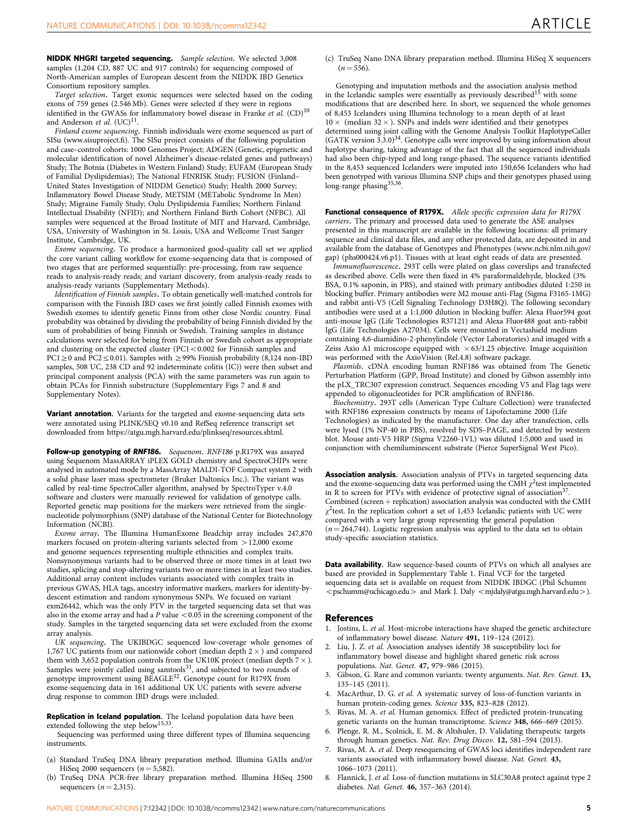<span id="page-5-0"></span>NIDDK NHGRI targeted sequencing. Sample selection. We selected 3,008 samples (1,204 CD, 887 UC and 917 controls) for sequencing composed of North-American samples of European descent from the NIDDK IBD Genetics Consortium repository samples.

Target selection. Target exonic sequences were selected based on the coding exons of 759 genes (2.546 Mb). Genes were selected if they were in regions identified in the GWASs for inflammatory bowel disease in Franke et al. (CD)<sup>[10](#page-6-0)</sup> and Anderson et al. (UC)<sup>11</sup>.

Finland exome sequencing. Finnish individuals were exome sequenced as part of SISu [\(www.sisuproject.fi\)](www.sisuproject.fi). The SISu project consists of the following population and case–control cohorts: 1000 Genomes Project; ADGEN (Genetic, epigenetic and molecular identification of novel Alzheimer's disease-related genes and pathways) Study; The Botnia (Diabetes in Western Finland) Study; EUFAM (European Study of Familial Dyslipidemias); The National FINRISK Study; FUSION (Finland– United States Investigation of NIDDM Genetics) Study; Health 2000 Survey; Inflammatory Bowel Disease Study, METSIM (METabolic Syndrome In Men) Study; Migraine Family Study; Oulu Dyslipidemia Families; Northern Finland Intellectual Disability (NFID); and Northern Finland Birth Cohort (NFBC). All samples were sequenced at the Broad Institute of MIT and Harvard, Cambridge, USA, University of Washington in St. Louis, USA and Wellcome Trust Sanger Institute, Cambridge, UK.

Exome sequencing. To produce a harmonized good-quality call set we applied the core variant calling workflow for exome-sequencing data that is composed of two stages that are performed sequentially: pre-processing, from raw sequence reads to analysis-ready reads; and variant discovery, from analysis-ready reads to analysis-ready variants (Supplementary Methods).

Identification of Finnish samples. To obtain genetically well-matched controls for comparison with the Finnish IBD cases we first jointly called Finnish exomes with Swedish exomes to identify genetic Finns from other close Nordic country. Final probability was obtained by dividing the probability of being Finnish divided by the sum of probabilities of being Finnish or Swedish. Training samples in distance calculations were selected for being from Finnish or Swedish cohort as appropriate and clustering on the expected cluster (PC1 <  $0.002$  for Finnish samples and  $PC1 \ge 0$  and  $PC2 \le 0.01$ ). Samples with  $\ge 99\%$  Finnish probability (8,124 non-IBD samples, 508 UC, 238 CD and 92 indeterminate colitis (IC)) were then subset and principal component analysis (PCA) with the same parameters was run again to obtain PCAs for Finnish substructure (Supplementary Figs 7 and 8 and Supplementary Notes).

Variant annotation. Variants for the targeted and exome-sequencing data sets were annotated using PLINK/SEQ v0.10 and RefSeq reference transcript set downloaded from<https://atgu.mgh.harvard.edu/plinkseq/resources.shtml>.

Follow-up genotyping of RNF186. Sequenom. RNF186 p.R179X was assayed using Sequenom MassARRAY iPLEX GOLD chemistry and SpectroCHIPs were analysed in automated mode by a MassArray MALDI-TOF Compact system 2 with a solid phase laser mass spectrometer (Bruker Daltonics Inc.). The variant was called by real-time SpectroCaller algorithm, analysed by SpectroTyper v.4.0 software and clusters were manually reviewed for validation of genotype calls. Reported genetic map positions for the markers were retrieved from the singlenucleotide polymorphism (SNP) database of the National Center for Biotechnology Information (NCBI).

Exome array. The Illumina HumanExome Beadchip array includes 247,870 markers focused on protein-altering variants selected from  $>$  12,000 exome and genome sequences representing multiple ethnicities and complex traits. Nonsynonymous variants had to be observed three or more times in at least two studies, splicing and stop-altering variants two or more times in at least two studies. Additional array content includes variants associated with complex traits in previous GWAS, HLA tags, ancestry informative markers, markers for identity-bydescent estimation and random synonymous SNPs. We focused on variant exm26442, which was the only PTV in the targeted sequencing data set that was also in the exome array and had a  $P$  value  $<$  0.05 in the screening component of the study. Samples in the targeted sequencing data set were excluded from the exome array analysis.

UK sequencing. The UKIBDGC sequenced low-coverage whole genomes of 1,767 UC patients from our nationwide cohort (median depth  $2 \times$  ) and compared them with 3,652 population controls from the UK10K project (median depth 7  $\times$  ). Samples were jointly called using samtools $31$ , and subjected to two rounds of genotype improvement using BEAGLE<sup>[32](#page-6-0)</sup>. Genotype count for R179X from exome-sequencing data in  $161$  additional UK UC patients with severe adverse drug response to common IBD drugs were included.

Replication in Iceland population. The Iceland population data have been extended following the step below<sup>[15,33](#page-6-0)</sup>.

Sequencing was performed using three different types of Illumina sequencing instruments.

- (a) Standard TruSeq DNA library preparation method. Illumina GAIIx and/or HiSeq 2000 sequencers  $(n = 5,582)$ .
- (b) TruSeq DNA PCR-free library preparation method. Illumina HiSeq 2500 sequencers  $(n = 2,315)$ .

(c) TruSeq Nano DNA library preparation method. Illumina HiSeq X sequencers  $(n = 556)$ 

Genotyping and imputation methods and the association analysis method in the Icelandic samples were essentially as previously described<sup>[15](#page-6-0)</sup> with some modifications that are described here. In short, we sequenced the whole genomes of 8,453 Icelanders using Illumina technology to a mean depth of at least  $10 \times$  (median 32  $\times$  ). SNPs and indels were identified and their genotypes determined using joint calling with the Genome Analysis Toolkit HaplotypeCaller (GATK version 3.3.0)<sup>34</sup>. Genotype calls were improved by using information about haplotype sharing, taking advantage of the fact that all the sequenced individuals had also been chip-typed and long range-phased. The sequence variants identified in the 8,453 sequenced Icelanders were imputed into 150,656 Icelanders who had been genotyped with various Illumina SNP chips and their genotypes phased using long-range phasing<sup>[35,36](#page-6-0)</sup>.

Functional consequence of R179X. Allele specific expression data for R179X carriers. The primary and processed data used to generate the ASE analyses presented in this manuscript are available in the following locations: all primary sequence and clinical data files, and any other protected data, are deposited in and available from the database of Genotypes and Phenotypes [\(www.ncbi.nlm.nih.gov/](www.ncbi.nlm.nih.gov/gap) [gap](www.ncbi.nlm.nih.gov/gap)) (phs000424.v6.p1). Tissues with at least eight reads of data are presented.

Immunofluorescence. 293T cells were plated on glass coverslips and transfected as described above. Cells were then fixed in 4% paraformaldehyde, blocked (3% BSA, 0.1% saponin, in PBS), and stained with primary antibodies diluted 1:250 in blocking buffer. Primary antibodies were M2 mouse anti-Flag (Sigma F3165-1MG) and rabbit anti-V5 (Cell Signaling Technology D3H8Q). The following secondary antibodies were used at a 1:1,000 dilution in blocking buffer: Alexa Fluor594 goat anti-mouse IgG (Life Technologies R37121) and Alexa Fluor488 goat anti-rabbit IgG (Life Technologies A27034). Cells were mounted in Vectashield medium containing 4,6-diamidino-2-phenylindole (Vector Laboratories) and imaged with a Zeiss Axio A1 microscope equipped with  $\times$  63/1.25 objective. Image acquisition was performed with the AxioVision (Rel.4.8) software package.

Plasmids. cDNA encoding human RNF186 was obtained from The Genetic Perturbation Platform (GPP, Broad Institute) and cloned by Gibson assembly into the pLX\_TRC307 expression construct. Sequences encoding V5 and Flag tags were appended to oligonucleotides for PCR amplification of RNF186.

Biochemistry. 293T cells (American Type Culture Collection) were transfected with RNF186 expression constructs by means of Lipofectamine 2000 (Life Technologies) as indicated by the manufacturer. One day after transfection, cells were lysed (1% NP-40 in PBS), resolved by SDS–PAGE, and detected by western blot. Mouse anti-V5 HRP (Sigma V2260-1VL) was diluted 1:5,000 and used in conjunction with chemiluminescent substrate (Pierce SuperSignal West Pico).

Association analysis. Association analysis of PTVs in targeted sequencing data and the exome-sequencing data was performed using the CMH  $\chi^2$ test implemented in R to screen for PTVs with evidence of protective signal of association<sup>3</sup> Combined (screen  $+$  replication) association analysis was conducted with the CMH  $\chi^2$ test. In the replication cohort a set of 1,453 Icelandic patients with UC were compared with a very large group representing the general population  $(n = 264,744)$ . Logistic regression analysis was applied to the data set to obtain study-specific association statistics.

Data availability. Raw sequence-based counts of PTVs on which all analyses are based are provided in Supplementary Table 1. Final VCF for the targeted sequencing data set is available on request from NIDDK IBDGC (Phil Schumm <pschumm@uchicago.edu> and Mark J. Daly <mjdaly@atgu.mgh.harvard.edu>).

### References

- 1. Jostins, L. et al. Host-microbe interactions have shaped the genetic architecture of inflammatory bowel disease. Nature 491, 119–124 (2012).
- 2. Liu, J. Z. et al. Association analyses identify 38 susceptibility loci for inflammatory bowel disease and highlight shared genetic risk across populations. Nat. Genet. 47, 979-986 (2015).
- Gibson, G. Rare and common variants: twenty arguments. Nat. Rev. Genet. 13, 135–145 (2011).
- 4. MacArthur, D. G. et al. A systematic survey of loss-of-function variants in human protein-coding genes. Science 335, 823–828 (2012).
- 5. Rivas, M. A. et al. Human genomics. Effect of predicted protein-truncating genetic variants on the human transcriptome. Science 348, 666–669 (2015).
- Plenge, R. M., Scolnick, E. M. & Altshuler, D. Validating therapeutic targets through human genetics. Nat. Rev. Drug Discov. 12, 581–594 (2013).
- 7. Rivas, M. A. et al. Deep resequencing of GWAS loci identifies independent rare variants associated with inflammatory bowel disease. Nat. Genet. 43, 1066–1073 (2011).
- 8. Flannick, J. et al. Loss-of-function mutations in SLC30A8 protect against type 2 diabetes. Nat. Genet. 46, 357–363 (2014).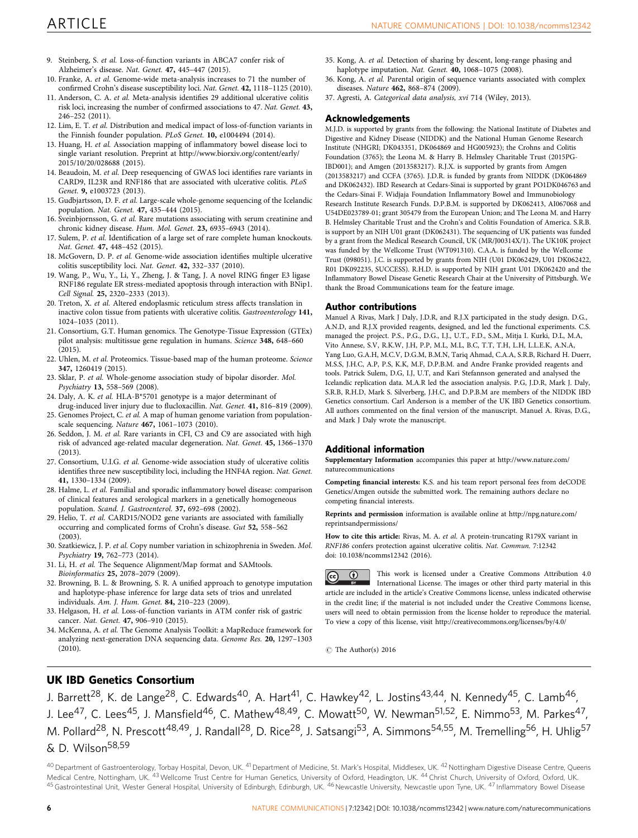- <span id="page-6-0"></span>9. Steinberg, S. et al. Loss-of-function variants in ABCA7 confer risk of Alzheimer's disease. Nat. Genet. 47, 445–447 (2015).
- 10. Franke, A. et al. Genome-wide meta-analysis increases to 71 the number of confirmed Crohn's disease susceptibility loci. Nat. Genet. 42, 1118–1125 (2010).
- 11. Anderson, C. A. et al. Meta-analysis identifies 29 additional ulcerative colitis risk loci, increasing the number of confirmed associations to 47. Nat. Genet. 43, 246–252 (2011).
- 12. Lim, E. T. et al. Distribution and medical impact of loss-of-function variants in the Finnish founder population. PLoS Genet. 10, e1004494 (2014).
- 13. Huang, H. et al. Association mapping of inflammatory bowel disease loci to single variant resolution. Preprint at [http://www.biorxiv.org/content/early/](http://www.biorxiv.org/content/early/2015/10/20/028688) [2015/10/20/028688](http://www.biorxiv.org/content/early/2015/10/20/028688) (2015).
- 14. Beaudoin, M. et al. Deep resequencing of GWAS loci identifies rare variants in CARD9, IL23R and RNF186 that are associated with ulcerative colitis. PLoS Genet. 9, e1003723 (2013).
- 15. Gudbjartsson, D. F. et al. Large-scale whole-genome sequencing of the Icelandic population. Nat. Genet. 47, 435–444 (2015).
- 16. Sveinbjornsson, G. et al. Rare mutations associating with serum creatinine and chronic kidney disease. Hum. Mol. Genet. 23, 6935–6943 (2014).
- 17. Sulem, P. et al. Identification of a large set of rare complete human knockouts. Nat. Genet. 47, 448–452 (2015).
- 18. McGovern, D. P. et al. Genome-wide association identifies multiple ulcerative colitis susceptibility loci. Nat. Genet. 42, 332–337 (2010).
- 19. Wang, P., Wu, Y., Li, Y., Zheng, J. & Tang, J. A novel RING finger E3 ligase RNF186 regulate ER stress-mediated apoptosis through interaction with BNip1. Cell Signal. 25, 2320–2333 (2013).
- 20. Treton, X. et al. Altered endoplasmic reticulum stress affects translation in inactive colon tissue from patients with ulcerative colitis. Gastroenterology 141, 1024–1035 (2011).
- 21. Consortium, G.T. Human genomics. The Genotype-Tissue Expression (GTEx) pilot analysis: multitissue gene regulation in humans. Science 348, 648–660 (2015).
- 22. Uhlen, M. et al. Proteomics. Tissue-based map of the human proteome. Science 347, 1260419 (2015).
- 23. Sklar, P. et al. Whole-genome association study of bipolar disorder. Mol. Psychiatry 13, 558–569 (2008).
- 24. Daly, A. K. et al. HLA-B\*5701 genotype is a major determinant of
- drug-induced liver injury due to flucloxacillin. Nat. Genet. 41, 816–819 (2009). 25. Genomes Project, C. et al. A map of human genome variation from populationscale sequencing. Nature 467, 1061–1073 (2010).
- 26. Seddon, J. M. et al. Rare variants in CFI, C3 and C9 are associated with high risk of advanced age-related macular degeneration. Nat. Genet. 45, 1366–1370 (2013).
- 27. Consortium, U.I.G. et al. Genome-wide association study of ulcerative colitis identifies three new susceptibility loci, including the HNF4A region. Nat. Genet. 41, 1330–1334 (2009).
- 28. Halme, L. et al. Familial and sporadic inflammatory bowel disease: comparison of clinical features and serological markers in a genetically homogeneous population. Scand. J. Gastroenterol. 37, 692–698 (2002).
- 29. Helio, T. et al. CARD15/NOD2 gene variants are associated with familially occurring and complicated forms of Crohn's disease. Gut 52, 558–562 (2003).
- 30. Szatkiewicz, J. P. et al. Copy number variation in schizophrenia in Sweden. Mol. Psychiatry 19, 762–773 (2014).
- 31. Li, H. et al. The Sequence Alignment/Map format and SAMtools. Bioinformatics 25, 2078–2079 (2009).
- 32. Browning, B. L. & Browning, S. R. A unified approach to genotype imputation and haplotype-phase inference for large data sets of trios and unrelated individuals. Am. J. Hum. Genet. 84, 210–223 (2009).
- 33. Helgason, H. et al. Loss-of-function variants in ATM confer risk of gastric cancer. Nat. Genet. 47, 906–910 (2015).
- 34. McKenna, A. et al. The Genome Analysis Toolkit: a MapReduce framework for analyzing next-generation DNA sequencing data. Genome Res. 20, 1297–1303 (2010).
- 35. Kong, A. et al. Detection of sharing by descent, long-range phasing and haplotype imputation. Nat. Genet. **40**, 1068-1075 (2008).
- 36. Kong, A. et al. Parental origin of sequence variants associated with complex diseases. Nature 462, 868–874 (2009).
- 37. Agresti, A. Categorical data analysis, xvi 714 (Wiley, 2013).

### Acknowledgements

M.J.D. is supported by grants from the following: the National Institute of Diabetes and Digestive and Kidney Disease (NIDDK) and the National Human Genome Research Institute (NHGRI; DK043351, DK064869 and HG005923); the Crohns and Colitis Foundation (3765); the Leona M. & Harry B. Helmsley Charitable Trust (2015PG-IBD001); and Amgen (2013583217). R.J.X. is supported by grants from Amgen (2013583217) and CCFA (3765). J.D.R. is funded by grants from NIDDK (DK064869 and DK062432). IBD Research at Cedars-Sinai is supported by grant PO1DK046763 and the Cedars-Sinai F. Widjaja Foundation Inflammatory Bowel and Immunobiology Research Institute Research Funds. D.P.B.M. is supported by DK062413, AI067068 and U54DE023789-01; grant 305479 from the European Union; and The Leona M. and Harry B. Helmsley Charitable Trust and the Crohn's and Colitis Foundation of America. S.R.B. is support by an NIH U01 grant (DK062431). The sequencing of UK patients was funded by a grant from the Medical Research Council, UK (MR/J00314X/1). The UK10K project was funded by the Wellcome Trust (WT091310). C.A.A. is funded by the Wellcome Trust (098051). J.C. is supported by grants from NIH (U01 DK062429, U01 DK062422, R01 DK092235, SUCCESS). R.H.D. is supported by NIH grant U01 DK062420 and the Inflammatory Bowel Disease Genetic Research Chair at the University of Pittsburgh. We thank the Broad Communications team for the feature image.

### Author contributions

Manuel A Rivas, Mark J Daly, J.D.R, and R.J.X participated in the study design. D.G., A.N.D, and R.J.X provided reagents, designed, and led the functional experiments. C.S. managed the project. P.S., P.G., D.G., I.J., U.T., F.D., S.M., Mitja I. Kurki, D.L, M.A, Vito Annese, S.V, R.K.W, J.H, P.P, M.L, M.L, B.C, T.T, T.H, L.H, L.L.E.K, A.N.A, Yang Luo, G.A.H, M.C.V, D.G.M, B.M.N, Tariq Ahmad, C.A.A, S.R.B, Richard H. Duerr, M.S.S, J.H.C, A.P, P.S, K.K, M.F, D.P.B.M. and Andre Franke provided reagents and tools. Patrick Sulem, D.G, I.J, U.T, and Kari Stefannson generated and analysed the Icelandic replication data. M.A.R led the association analysis. P.G, J.D.R, Mark J. Daly, S.R.B, R.H.D, Mark S. Silverberg, J.H.C, and D.P.B.M are members of the NIDDK IBD Genetics consortium. Carl Anderson is a member of the UK IBD Genetics consortium. All authors commented on the final version of the manuscript. Manuel A. Rivas, D.G., and Mark J Daly wrote the manuscript.

### Additional information

Supplementary Information accompanies this paper at [http://www.nature.com/](http://www.nature.com/naturecommunications) [naturecommunications](http://www.nature.com/naturecommunications)

Competing financial interests: K.S. and his team report personal fees from deCODE Genetics/Amgen outside the submitted work. The remaining authors declare no competing financial interests.

Reprints and permission information is available online at [http://npg.nature.com/](http://npg.nature.com/reprintsandpermissions) [reprintsandpermissions/](http://npg.nature.com/reprintsandpermissions)

How to cite this article: Rivas, M. A. et al. A protein-truncating R179X variant in RNF186 confers protection against ulcerative colitis. Nat. Commun. 7:12342 doi: 10.1038/ncomms12342 (2016).

This work is licensed under a Creative Commons Attribution 4.0  $\odot$  $\left( \mathrm{cc}\right)$ International License. The images or other third party material in this article are included in the article's Creative Commons license, unless indicated otherwise in the credit line; if the material is not included under the Creative Commons license, users will need to obtain permission from the license holder to reproduce the material. To view a copy of this license, visit<http://creativecommons.org/licenses/by/4.0/>

 $C$  The Author(s) 2016

## UK IBD Genetics Consortium

J. Barrett<sup>28</sup>, K. de Lange<sup>28</sup>, C. Edwards<sup>40</sup>, A. Hart<sup>41</sup>, C. Hawkey<sup>42</sup>, L. Jostins<sup>43,44</sup>, N. Kennedy<sup>45</sup>, C. Lamb<sup>46</sup>, J. Lee<sup>47</sup>, C. Lees<sup>45</sup>, J. Mansfield<sup>46</sup>, C. Mathew<sup>48,49</sup>, C. Mowatt<sup>50</sup>, W. Newman<sup>51,52</sup>, E. Nimmo<sup>53</sup>, M. Parkes<sup>47</sup>, M. Pollard<sup>28</sup>, N. Prescott<sup>48,49</sup>, J. Randall<sup>28</sup>, D. Rice<sup>28</sup>, J. Satsangi<sup>53</sup>, A. Simmons<sup>54,55</sup>, M. Tremelling<sup>56</sup>, H. Uhlig<sup>57</sup>  $\kappa$  D. Wilson<sup>58,59</sup>

40 Department of Gastroenterology, Torbay Hospital, Devon, UK. <sup>41</sup> Department of Medicine, St. Mark's Hospital, Middlesex, UK. <sup>42</sup> Nottingham Digestive Disease Centre, Queens Medical Centre, Nottingham, UK. <sup>43</sup> Wellcome Trust Centre for Human Genetics, University of Oxford, Headington, UK. <sup>44</sup> Christ Church, University of Oxford, Oxford, UK. <sup>45</sup>Gastrointestinal Unit, Wester General Hospital, University of Edinburgh, Edinburgh, UK. <sup>46</sup>Newcastle University, Newcastle upon Tyne, UK. <sup>47</sup> Inflammatory Bowel Disease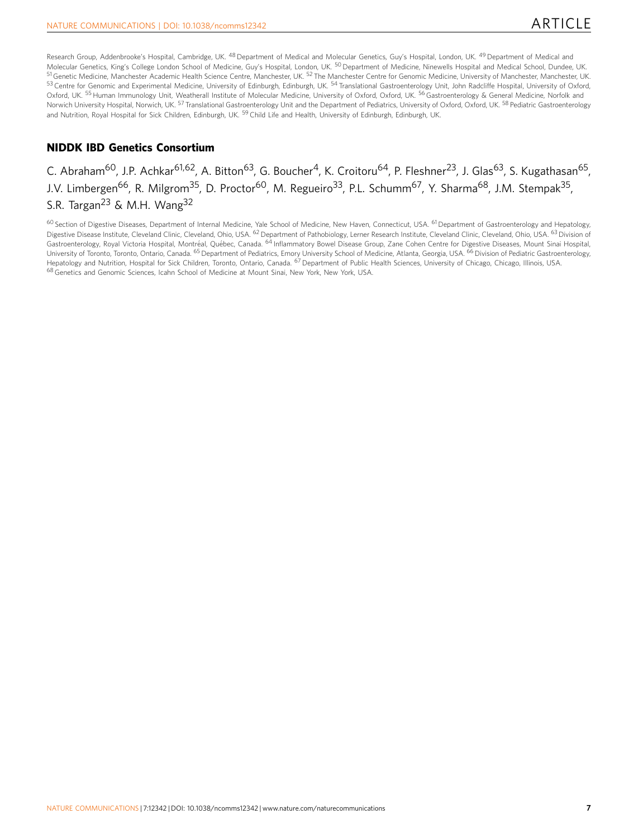Research Group, Addenbrooke's Hospital, Cambridge, UK. <sup>48</sup> Department of Medical and Molecular Genetics, Guy's Hospital, London, UK. <sup>49</sup> Department of Medical and Molecular Genetics, King's College London School of Medicine, Guy's Hospital, London, UK. <sup>50</sup> Department of Medicine, Ninewells Hospital and Medical School, Dundee, UK. <sup>51</sup> Genetic Medicine, Manchester Academic Health Science Centre, Manchester, UK. <sup>52</sup> The Manchester Centre for Genomic Medicine, University of Manchester, Manchester, UK. 53 Centre for Genomic and Experimental Medicine, University of Edinburgh, Edinburgh, UK. 54 Translational Gastroenterology Unit, John Radcliffe Hospital, University of Oxford, Oxford, UK. <sup>55</sup> Human Immunology Unit, Weatherall Institute of Molecular Medicine, University of Oxford, Oxford, UK. <sup>56</sup>Gastroenterology & General Medicine, Norfolk and Norwich University Hospital, Norwich, UK. <sup>57</sup> Translational Gastroenterology Unit and the Department of Pediatrics, University of Oxford, Oxford, UK. <sup>58</sup> Pediatric Gastroenterology and Nutrition, Royal Hospital for Sick Children, Edinburgh, UK. <sup>59</sup> Child Life and Health, University of Edinburgh, Edinburgh, UK.

## NIDDK IBD Genetics Consortium

## C. Abraham<sup>60</sup>, J.P. Achkar<sup>61,62</sup>, A. Bitton<sup>63</sup>, G. Boucher<sup>4</sup>, K. Croitoru<sup>64</sup>, P. Fleshner<sup>23</sup>, J. Glas<sup>63</sup>, S. Kugathasan<sup>65</sup>, J.V. Limbergen<sup>66</sup>, R. Milgrom<sup>35</sup>, D. Proctor<sup>60</sup>, M. Regueiro<sup>33</sup>, P.L. Schumm<sup>67</sup>, Y. Sharma<sup>68</sup>, J.M. Stempak<sup>35</sup>, S.R. Targan<sup>23</sup> & M.H. Wang<sup>32</sup>

<sup>60</sup> Section of Digestive Diseases, Department of Internal Medicine, Yale School of Medicine, New Haven, Connecticut, USA. <sup>61</sup> Department of Gastroenterology and Hepatology, Digestive Disease Institute, Cleveland Clinic, Cleveland, Ohio, USA. <sup>62</sup> Department of Pathobiology, Lerner Research Institute, Cleveland Clinic, Cleveland, Ohio, USA. <sup>63</sup> Division of Gastroenterology, Royal Victoria Hospital, Montréal, Québec, Canada. <sup>64</sup> Inflammatory Bowel Disease Group, Zane Cohen Centre for Digestive Diseases, Mount Sinai Hospital, University of Toronto, Toronto, Ontario, Canada. <sup>65</sup> Department of Pediatrics, Emory University School of Medicine, Atlanta, Georgia, USA. <sup>66</sup> Division of Pediatric Gastroenterology, Hepatology and Nutrition, Hospital for Sick Children, Toronto, Ontario, Canada. <sup>67</sup> Department of Public Health Sciences, University of Chicago, Chicago, Illinois, USA. 68 Genetics and Genomic Sciences, Icahn School of Medicine at Mount Sinai, New York, New York, USA.